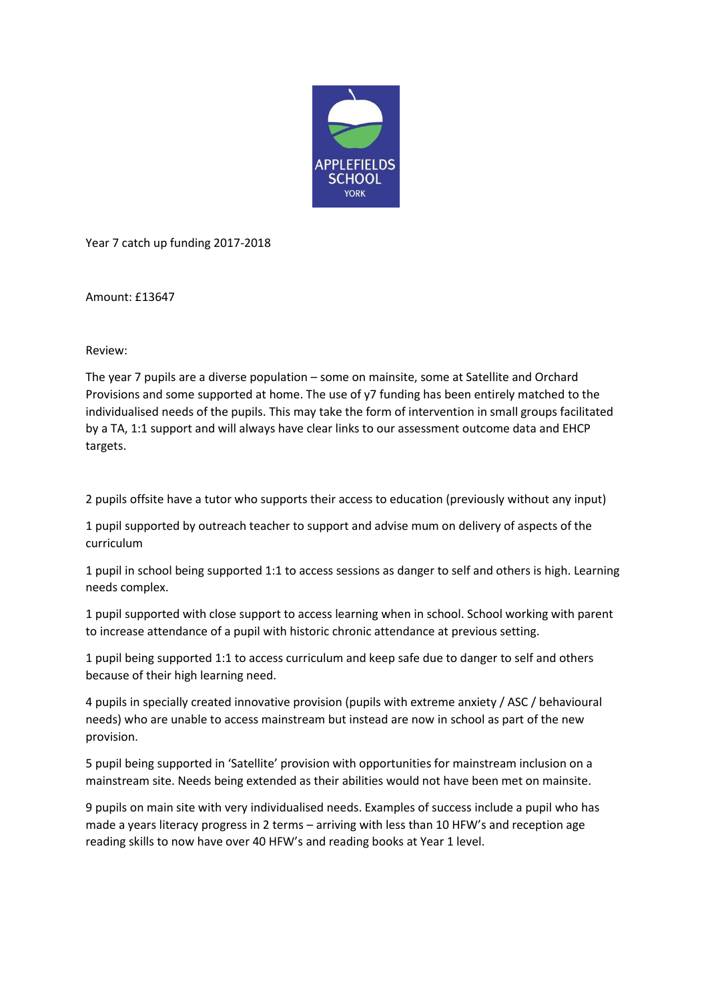

Year 7 catch up funding 2017-2018

Amount: £13647

Review:

The year 7 pupils are a diverse population – some on mainsite, some at Satellite and Orchard Provisions and some supported at home. The use of y7 funding has been entirely matched to the individualised needs of the pupils. This may take the form of intervention in small groups facilitated by a TA, 1:1 support and will always have clear links to our assessment outcome data and EHCP targets.

2 pupils offsite have a tutor who supports their access to education (previously without any input)

1 pupil supported by outreach teacher to support and advise mum on delivery of aspects of the curriculum

1 pupil in school being supported 1:1 to access sessions as danger to self and others is high. Learning needs complex.

1 pupil supported with close support to access learning when in school. School working with parent to increase attendance of a pupil with historic chronic attendance at previous setting.

1 pupil being supported 1:1 to access curriculum and keep safe due to danger to self and others because of their high learning need.

4 pupils in specially created innovative provision (pupils with extreme anxiety / ASC / behavioural needs) who are unable to access mainstream but instead are now in school as part of the new provision.

5 pupil being supported in 'Satellite' provision with opportunities for mainstream inclusion on a mainstream site. Needs being extended as their abilities would not have been met on mainsite.

9 pupils on main site with very individualised needs. Examples of success include a pupil who has made a years literacy progress in 2 terms – arriving with less than 10 HFW's and reception age reading skills to now have over 40 HFW's and reading books at Year 1 level.